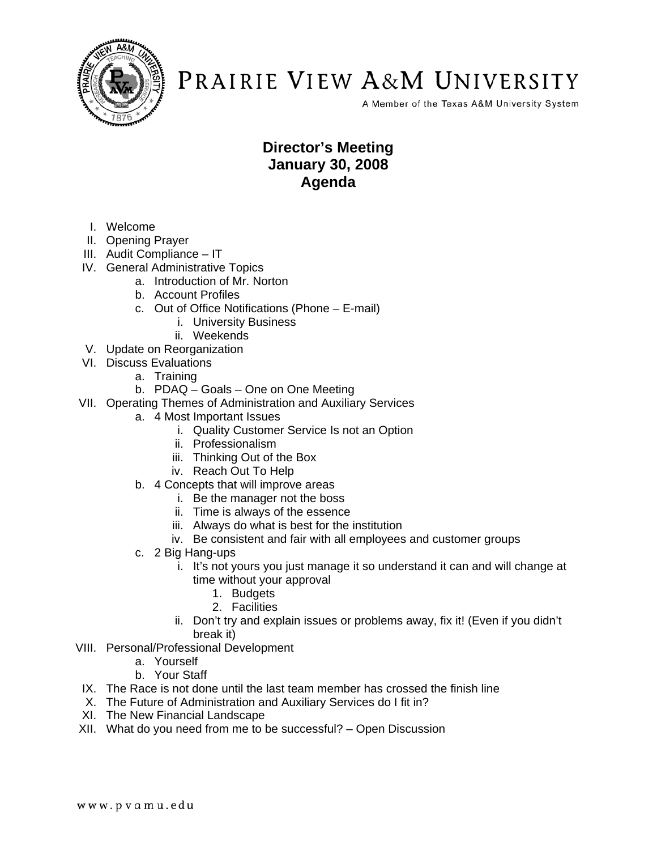

A Member of the Texas A&M University System

### **Director's Meeting January 30, 2008 Agenda**

- I. Welcome
- II. Opening Prayer
- III. Audit Compliance IT
- IV. General Administrative Topics
	- a. Introduction of Mr. Norton
	- b. Account Profiles
	- c. Out of Office Notifications (Phone E-mail)
		- i. University Business
		- ii. Weekends
- V. Update on Reorganization
- VI. Discuss Evaluations
	- a. Training
	- b. PDAQ Goals One on One Meeting
- VII. Operating Themes of Administration and Auxiliary Services
	- a. 4 Most Important Issues
		- i. Quality Customer Service Is not an Option
		- ii. Professionalism
		- iii. Thinking Out of the Box
		- iv. Reach Out To Help
	- b. 4 Concepts that will improve areas
		- i. Be the manager not the boss
		- ii. Time is always of the essence
		- iii. Always do what is best for the institution
		- iv. Be consistent and fair with all employees and customer groups
	- c. 2 Big Hang-ups
		- i. It's not yours you just manage it so understand it can and will change at time without your approval
			- 1. Budgets
			- 2. Facilities
		- ii. Don't try and explain issues or problems away, fix it! (Even if you didn't break it)
- VIII. Personal/Professional Development
	- a. Yourself
	- b. Your Staff
- IX. The Race is not done until the last team member has crossed the finish line
- X. The Future of Administration and Auxiliary Services do I fit in?
- XI. The New Financial Landscape
- XII. What do you need from me to be successful? Open Discussion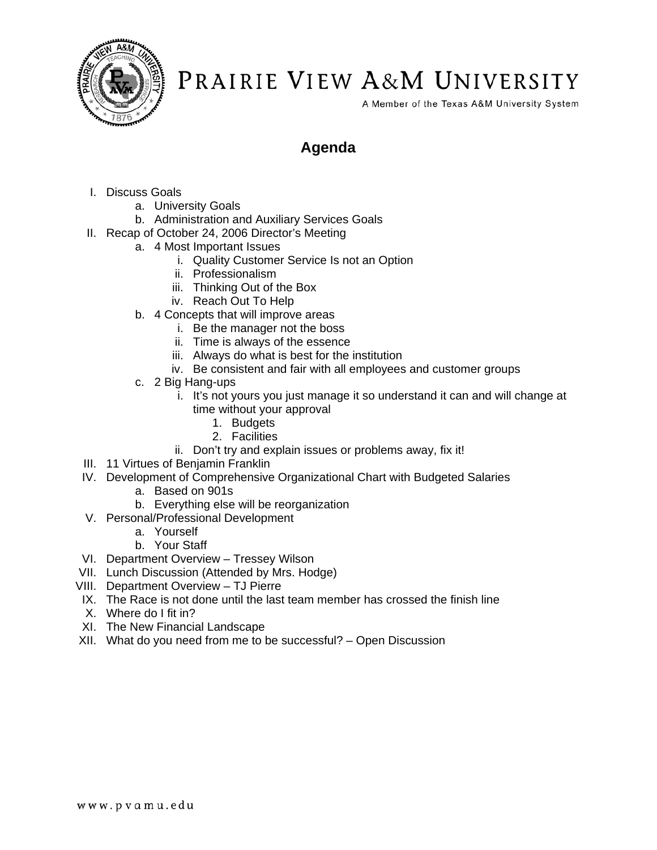

A Member of the Texas A&M University System

### **Agenda**

- I. Discuss Goals
	- a. University Goals
	- b. Administration and Auxiliary Services Goals
- II. Recap of October 24, 2006 Director's Meeting
	- a. 4 Most Important Issues
		- i. Quality Customer Service Is not an Option
		- ii. Professionalism
		- iii. Thinking Out of the Box
		- iv. Reach Out To Help
	- b. 4 Concepts that will improve areas
		- i. Be the manager not the boss
		- ii. Time is always of the essence
		- iii. Always do what is best for the institution
		- iv. Be consistent and fair with all employees and customer groups
	- c. 2 Big Hang-ups
		- i. It's not yours you just manage it so understand it can and will change at time without your approval
			- 1. Budgets
			- 2. Facilities
		- ii. Don't try and explain issues or problems away, fix it!
- III. 11 Virtues of Benjamin Franklin
- IV. Development of Comprehensive Organizational Chart with Budgeted Salaries
	- a. Based on 901s
	- b. Everything else will be reorganization
- V. Personal/Professional Development
	- a. Yourself
	- b. Your Staff
- VI. Department Overview Tressey Wilson
- VII. Lunch Discussion (Attended by Mrs. Hodge)
- VIII. Department Overview TJ Pierre
- IX. The Race is not done until the last team member has crossed the finish line
- X. Where do I fit in?
- XI. The New Financial Landscape
- XII. What do you need from me to be successful? Open Discussion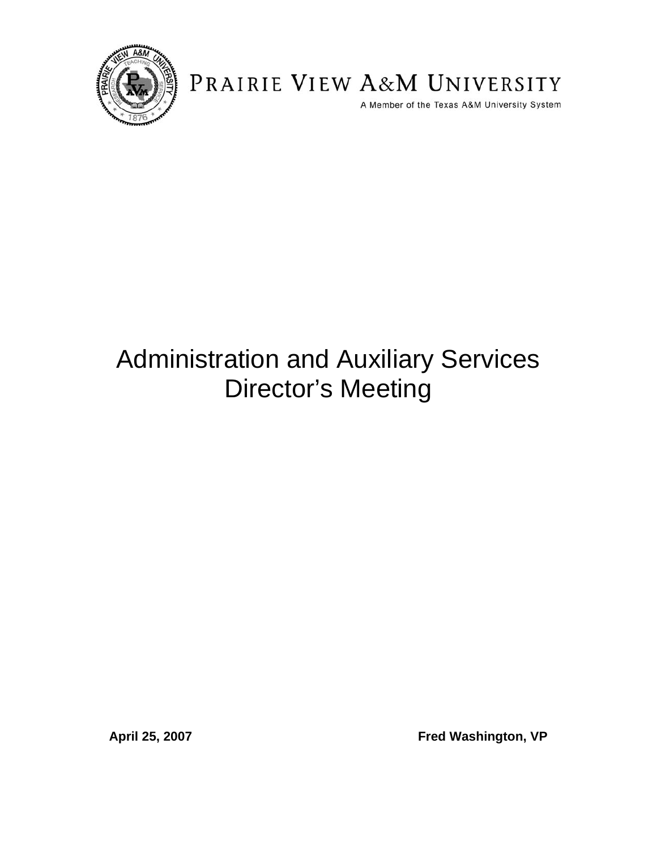

A Member of the Texas A&M University System

# Administration and Auxiliary Services Director's Meeting

April 25, 2007 **Fred Washington, VP**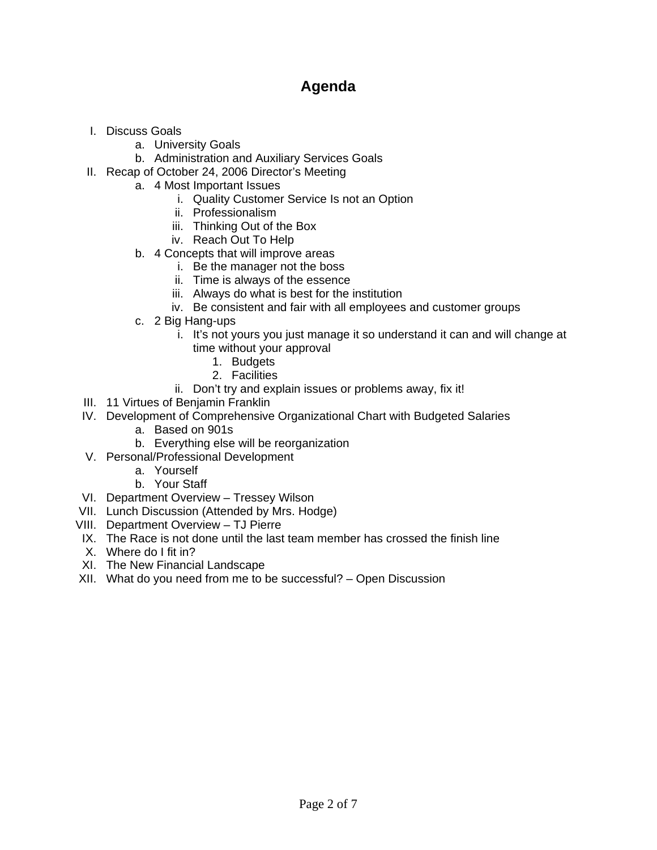### **Agenda**

- I. Discuss Goals
	- a. University Goals
	- b. Administration and Auxiliary Services Goals
- II. Recap of October 24, 2006 Director's Meeting
	- a. 4 Most Important Issues
		- i. Quality Customer Service Is not an Option
		- ii. Professionalism
		- iii. Thinking Out of the Box
		- iv. Reach Out To Help
	- b. 4 Concepts that will improve areas
		- i. Be the manager not the boss
		- ii. Time is always of the essence
		- iii. Always do what is best for the institution
		- iv. Be consistent and fair with all employees and customer groups
	- c. 2 Big Hang-ups
		- i. It's not yours you just manage it so understand it can and will change at time without your approval
			- 1. Budgets
			- 2. Facilities
		- ii. Don't try and explain issues or problems away, fix it!
- III. 11 Virtues of Benjamin Franklin
- IV. Development of Comprehensive Organizational Chart with Budgeted Salaries
	- a. Based on 901s
	- b. Everything else will be reorganization
- V. Personal/Professional Development
	- a. Yourself
	- b. Your Staff
- VI. Department Overview Tressey Wilson
- VII. Lunch Discussion (Attended by Mrs. Hodge)
- VIII. Department Overview TJ Pierre
- IX. The Race is not done until the last team member has crossed the finish line
- X. Where do I fit in?
- XI. The New Financial Landscape
- XII. What do you need from me to be successful? Open Discussion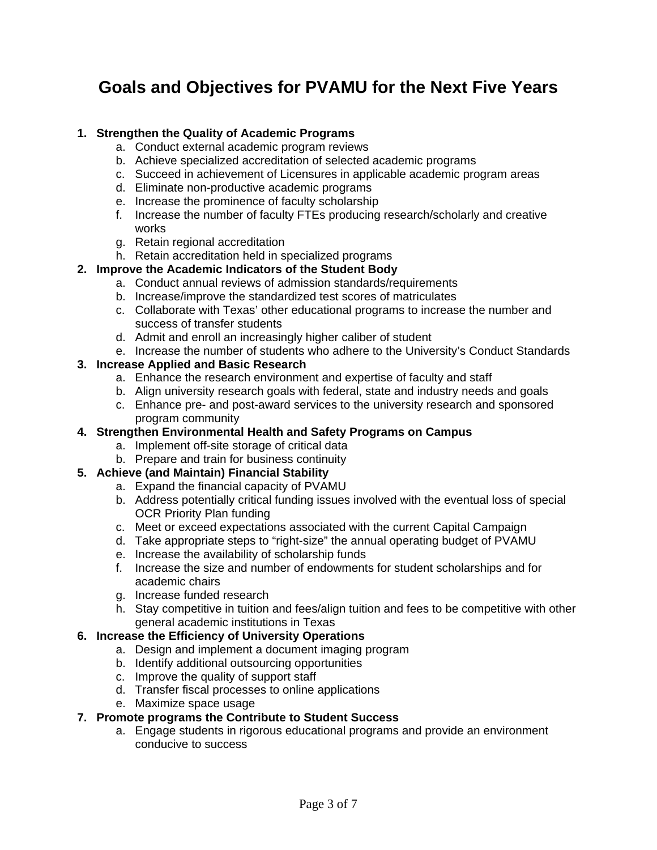### **Goals and Objectives for PVAMU for the Next Five Years**

#### **1. Strengthen the Quality of Academic Programs**

- a. Conduct external academic program reviews
- b. Achieve specialized accreditation of selected academic programs
- c. Succeed in achievement of Licensures in applicable academic program areas
- d. Eliminate non-productive academic programs
- e. Increase the prominence of faculty scholarship
- f. Increase the number of faculty FTEs producing research/scholarly and creative works
- g. Retain regional accreditation
- h. Retain accreditation held in specialized programs

#### **2. Improve the Academic Indicators of the Student Body**

- a. Conduct annual reviews of admission standards/requirements
- b. Increase/improve the standardized test scores of matriculates
- c. Collaborate with Texas' other educational programs to increase the number and success of transfer students
- d. Admit and enroll an increasingly higher caliber of student
- e. Increase the number of students who adhere to the University's Conduct Standards

#### **3. Increase Applied and Basic Research**

- a. Enhance the research environment and expertise of faculty and staff
- b. Align university research goals with federal, state and industry needs and goals
- c. Enhance pre- and post-award services to the university research and sponsored program community

#### **4. Strengthen Environmental Health and Safety Programs on Campus**

- a. Implement off-site storage of critical data
- b. Prepare and train for business continuity

#### **5. Achieve (and Maintain) Financial Stability**

- a. Expand the financial capacity of PVAMU
- b. Address potentially critical funding issues involved with the eventual loss of special OCR Priority Plan funding
- c. Meet or exceed expectations associated with the current Capital Campaign
- d. Take appropriate steps to "right-size" the annual operating budget of PVAMU
- e. Increase the availability of scholarship funds
- f. Increase the size and number of endowments for student scholarships and for academic chairs
- g. Increase funded research
- h. Stay competitive in tuition and fees/align tuition and fees to be competitive with other general academic institutions in Texas

#### **6. Increase the Efficiency of University Operations**

- a. Design and implement a document imaging program
- b. Identify additional outsourcing opportunities
- c. Improve the quality of support staff
- d. Transfer fiscal processes to online applications
- e. Maximize space usage

#### **7. Promote programs the Contribute to Student Success**

a. Engage students in rigorous educational programs and provide an environment conducive to success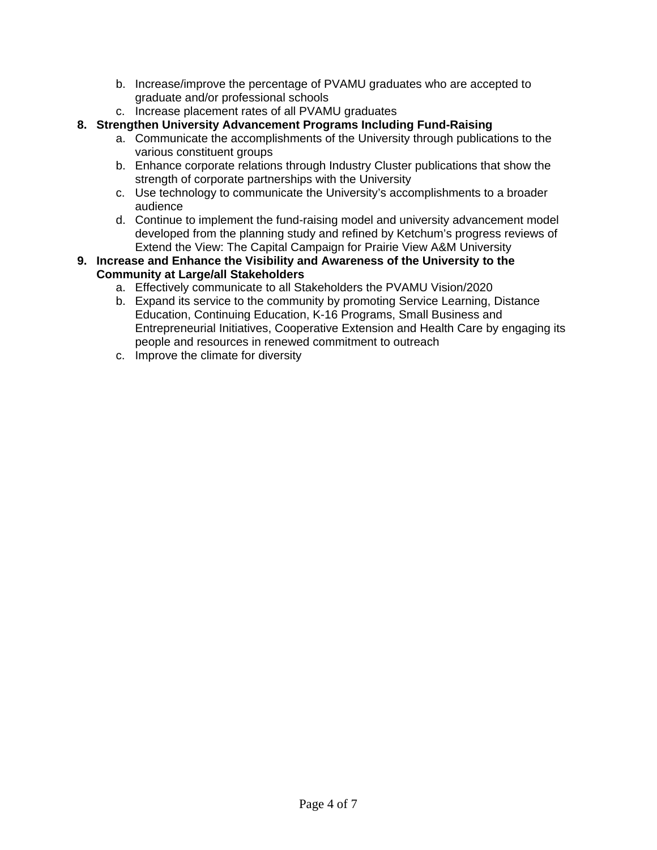- b. Increase/improve the percentage of PVAMU graduates who are accepted to graduate and/or professional schools
- c. Increase placement rates of all PVAMU graduates
- **8. Strengthen University Advancement Programs Including Fund-Raising** 
	- a. Communicate the accomplishments of the University through publications to the various constituent groups
	- b. Enhance corporate relations through Industry Cluster publications that show the strength of corporate partnerships with the University
	- c. Use technology to communicate the University's accomplishments to a broader audience
	- d. Continue to implement the fund-raising model and university advancement model developed from the planning study and refined by Ketchum's progress reviews of Extend the View: The Capital Campaign for Prairie View A&M University
- **9. Increase and Enhance the Visibility and Awareness of the University to the Community at Large/all Stakeholders** 
	- a. Effectively communicate to all Stakeholders the PVAMU Vision/2020
	- b. Expand its service to the community by promoting Service Learning, Distance Education, Continuing Education, K-16 Programs, Small Business and Entrepreneurial Initiatives, Cooperative Extension and Health Care by engaging its people and resources in renewed commitment to outreach
	- c. Improve the climate for diversity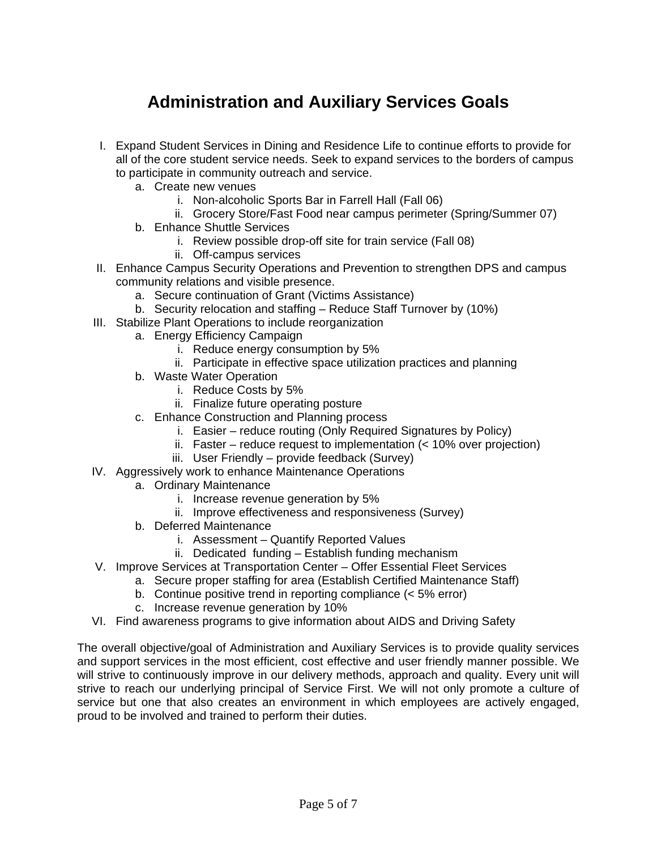### **Administration and Auxiliary Services Goals**

- I. Expand Student Services in Dining and Residence Life to continue efforts to provide for all of the core student service needs. Seek to expand services to the borders of campus to participate in community outreach and service.
	- a. Create new venues
		- i. Non-alcoholic Sports Bar in Farrell Hall (Fall 06)
		- ii. Grocery Store/Fast Food near campus perimeter (Spring/Summer 07)
	- b. Enhance Shuttle Services
		- i. Review possible drop-off site for train service (Fall 08)
		- ii. Off-campus services
- II. Enhance Campus Security Operations and Prevention to strengthen DPS and campus community relations and visible presence.
	- a. Secure continuation of Grant (Victims Assistance)
	- b. Security relocation and staffing Reduce Staff Turnover by (10%)
- III. Stabilize Plant Operations to include reorganization
	- a. Energy Efficiency Campaign
		- i. Reduce energy consumption by 5%
		- ii. Participate in effective space utilization practices and planning
	- b. Waste Water Operation
		- i. Reduce Costs by 5%
		- ii. Finalize future operating posture
	- c. Enhance Construction and Planning process
		- i. Easier reduce routing (Only Required Signatures by Policy)
		- ii. Faster reduce request to implementation (< 10% over projection)
		- iii. User Friendly provide feedback (Survey)
- IV. Aggressively work to enhance Maintenance Operations
	- a. Ordinary Maintenance
		- i. Increase revenue generation by 5%
		- ii. Improve effectiveness and responsiveness (Survey)
	- b. Deferred Maintenance
		- i. Assessment Quantify Reported Values
		- ii. Dedicated funding Establish funding mechanism
- V. Improve Services at Transportation Center Offer Essential Fleet Services
	- a. Secure proper staffing for area (Establish Certified Maintenance Staff)
		- b. Continue positive trend in reporting compliance (< 5% error)
		- c. Increase revenue generation by 10%
- VI. Find awareness programs to give information about AIDS and Driving Safety

The overall objective/goal of Administration and Auxiliary Services is to provide quality services and support services in the most efficient, cost effective and user friendly manner possible. We will strive to continuously improve in our delivery methods, approach and quality. Every unit will strive to reach our underlying principal of Service First. We will not only promote a culture of service but one that also creates an environment in which employees are actively engaged, proud to be involved and trained to perform their duties.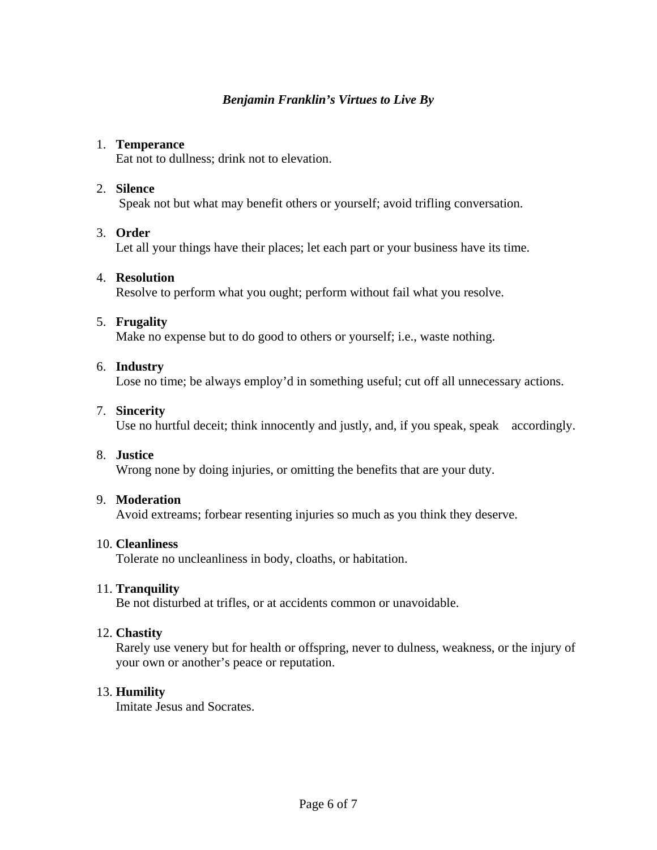#### *Benjamin Franklin's Virtues to Live By*

#### 1. **Temperance**

Eat not to dullness; drink not to elevation.

#### 2. **Silence**

Speak not but what may benefit others or yourself; avoid trifling conversation.

#### 3. **Order**

Let all your things have their places; let each part or your business have its time.

#### 4. **Resolution**

Resolve to perform what you ought; perform without fail what you resolve.

#### 5. **Frugality**

Make no expense but to do good to others or yourself; i.e., waste nothing.

#### 6. **Industry**

Lose no time; be always employ'd in something useful; cut off all unnecessary actions.

#### 7. **Sincerity**

Use no hurtful deceit; think innocently and justly, and, if you speak, speak accordingly.

#### 8. **Justice**

Wrong none by doing injuries, or omitting the benefits that are your duty.

#### 9. **Moderation**

Avoid extreams; forbear resenting injuries so much as you think they deserve.

#### 10. **Cleanliness**

Tolerate no uncleanliness in body, cloaths, or habitation.

#### 11. **Tranquility**

Be not disturbed at trifles, or at accidents common or unavoidable.

#### 12. **Chastity**

Rarely use venery but for health or offspring, never to dulness, weakness, or the injury of your own or another's peace or reputation.

#### 13. **Humility**

Imitate Jesus and Socrates.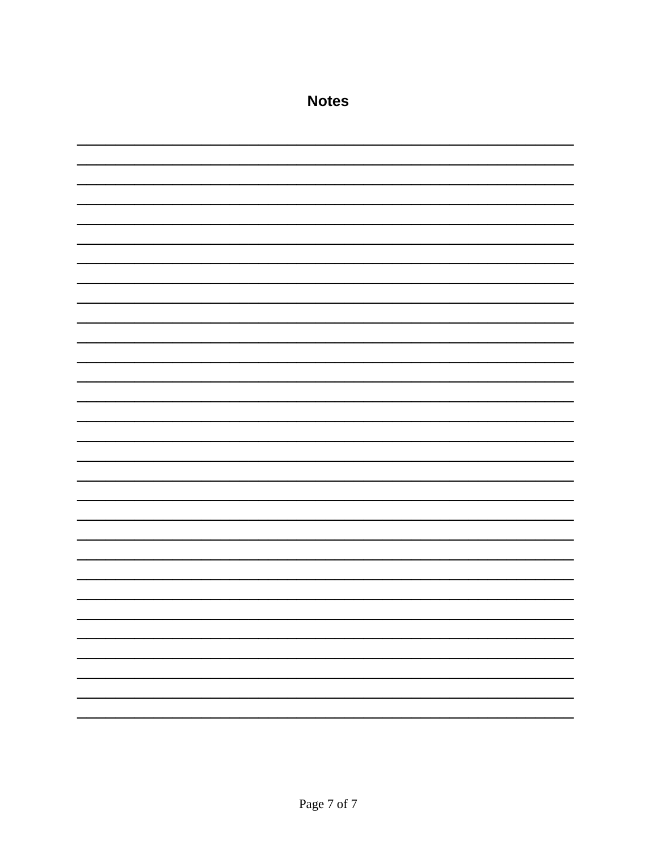| <b>Notes</b> |  |
|--------------|--|
|              |  |
|              |  |
|              |  |
|              |  |
|              |  |
|              |  |
|              |  |
|              |  |
|              |  |
|              |  |
|              |  |
|              |  |
|              |  |
|              |  |
|              |  |
|              |  |
|              |  |
|              |  |
|              |  |
|              |  |
|              |  |
|              |  |
|              |  |
|              |  |
|              |  |
|              |  |
|              |  |
|              |  |
|              |  |
|              |  |
|              |  |
|              |  |
|              |  |
|              |  |
|              |  |
|              |  |
|              |  |
|              |  |